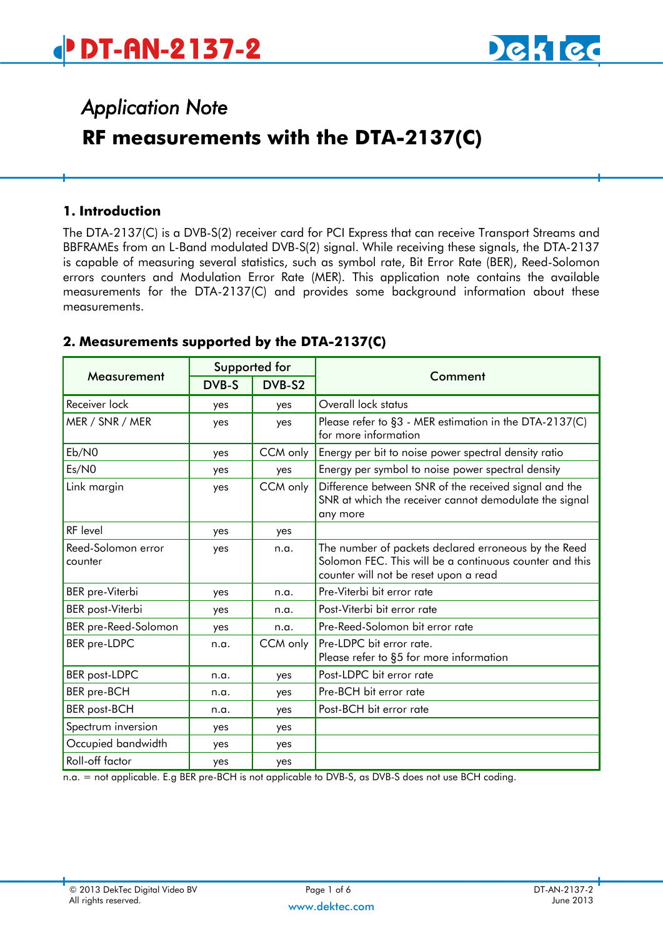

## *Application Note*  **RF measurements with the DTA-2137(C)**

#### **1. Introduction**

The DTA-2137(C) is a DVB-S(2) receiver card for PCI Express that can receive Transport Streams and BBFRAMEs from an L-Band modulated DVB-S(2) signal. While receiving these signals, the DTA-2137 is capable of measuring several statistics, such as symbol rate, Bit Error Rate (BER), Reed-Solomon errors counters and Modulation Error Rate (MER). This application note contains the available measurements for the DTA-2137(C) and provides some background information about these measurements.

#### Measurement Supported for Comment DVB-S DVB-S2 Receiver lock **Network** yes yes **Overall lock status** MER / SNR / MER Wes yes Please refer to [§3](#page-1-0) - [MER estimation in the DTA-2137\(C\)](#page-1-0) for more information Eb/N0  $\vert$  yes  $\vert$  CCM only Energy per bit to noise power spectral density ratio Es/N0 yes yes Energy per symbol to noise power spectral density Link margin The State of the Superson of the received signal and the Link margin SNR at which the receiver cannot demodulate the signal any more RF level and presumption of the set of the set of the set of the set of the set of the set of the set of the s Reed-Solomon error counter yes | n.a. The number of packets declared erroneous by the Reed Solomon FEC. This will be a continuous counter and this counter will not be reset upon a read BER pre-Viterbi yes n.a. Pre-Viterbi bit error rate BER post-Viterbi | yes | n.a. | Post-Viterbi bit error rate BER pre-Reed-Solomon | yes | n.a. | Pre-Reed-Solomon bit error rate BER pre-LDPC h.g. CCM only Pre-LDPC bit error rate. Please refer to [§5](#page-3-0) for more information BER post-LDPC | n.a. | yes | Post-LDPC bit error rate BER pre-BCH 1.a. ves Pre-BCH bit error rate BER post-BCH n.a. yes Post-BCH bit error rate Spectrum inversion | yes | yes Occupied bandwidth | yes | yes Roll-off factor and yes yes

#### **2. Measurements supported by the DTA-2137(C)**

n.a. = not applicable. E.g BER pre-BCH is not applicable to DVB-S, as DVB-S does not use BCH coding.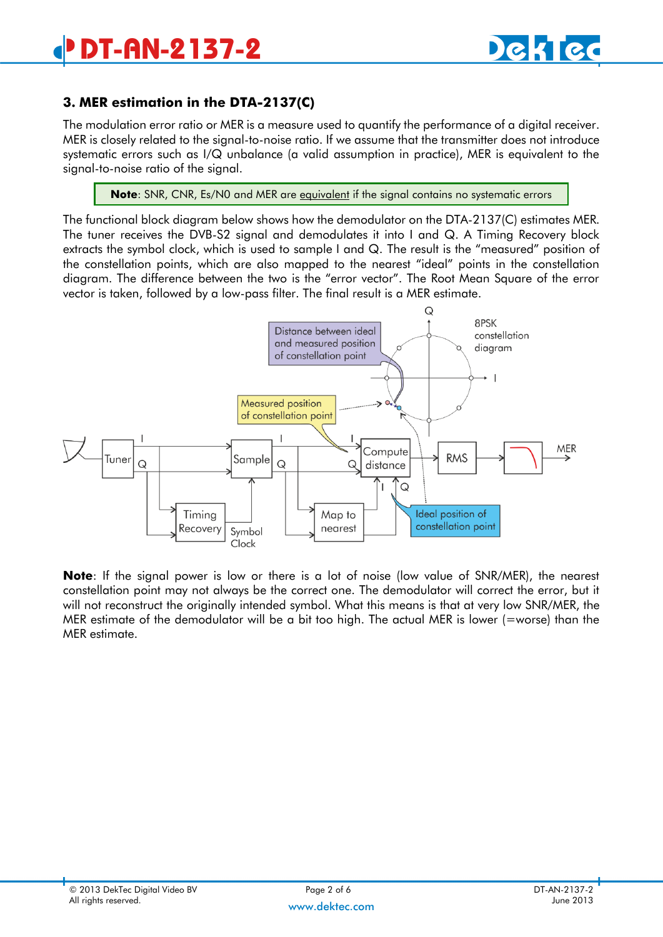### <span id="page-1-0"></span>**3. MER estimation in the DTA-2137(C)**

The modulation error ratio or MER is a measure used to quantify the performance of a digital receiver. MER is closely related to the signal-to-noise ratio. If we assume that the transmitter does not introduce systematic errors such as I/Q unbalance (a valid assumption in practice), MER is equivalent to the signal-to-noise ratio of the signal.

**Note:** SNR, CNR, Es/N0 and MER are *equivalent* if the signal contains no systematic errors

The functional block diagram below shows how the demodulator on the DTA-2137(C) estimates MER. The tuner receives the DVB-S2 signal and demodulates it into I and Q. A Timing Recovery block extracts the symbol clock, which is used to sample I and Q. The result is the "measured" position of the constellation points, which are also mapped to the nearest "ideal" points in the constellation diagram. The difference between the two is the "error vector". The Root Mean Square of the error vector is taken, followed by a low-pass filter. The final result is a MER estimate.



**Note**: If the signal power is low or there is a lot of noise (low value of SNR/MER), the nearest constellation point may not always be the correct one. The demodulator will correct the error, but it will not reconstruct the originally intended symbol. What this means is that at very low SNR/MER, the MER estimate of the demodulator will be a bit too high. The actual MER is lower (=worse) than the MER estimate.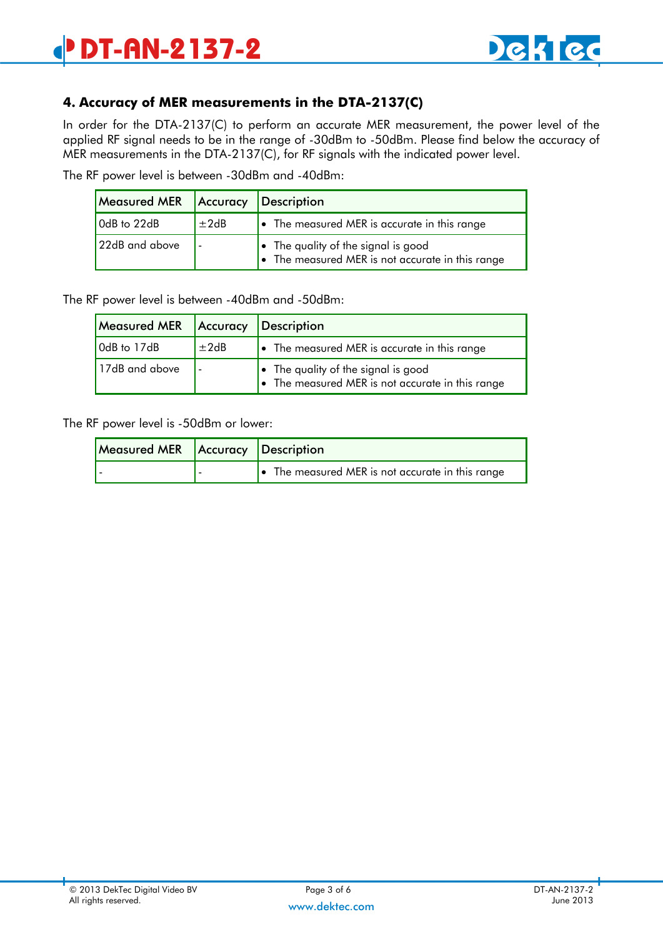

#### **4. Accuracy of MER measurements in the DTA-2137(C)**

In order for the DTA-2137(C) to perform an accurate MER measurement, the power level of the applied RF signal needs to be in the range of -30dBm to -50dBm. Please find below the accuracy of MER measurements in the DTA-2137(C), for RF signals with the indicated power level.

The RF power level is between -30dBm and -40dBm:

| Measured MER   Accuracy   Description |        |                                                                                                 |  |
|---------------------------------------|--------|-------------------------------------------------------------------------------------------------|--|
| OdB to 22dB                           | $+2dB$ | • The measured MER is accurate in this range                                                    |  |
| 22dB and above                        |        | $\bullet$ The quality of the signal is good<br>• The measured MER is not accurate in this range |  |

The RF power level is between -40dBm and -50dBm:

| Measured MER   Accuracy   Description |        |                                                                                                 |  |
|---------------------------------------|--------|-------------------------------------------------------------------------------------------------|--|
| OdB to 17dB                           | $+2dB$ | $\bullet$ The measured MER is accurate in this range                                            |  |
| 17dB and above                        |        | $\bullet$ The quality of the signal is good<br>• The measured MER is not accurate in this range |  |

The RF power level is -50dBm or lower:

| Measured MER Accuracy Description |                                                  |  |
|-----------------------------------|--------------------------------------------------|--|
|                                   | • The measured MER is not accurate in this range |  |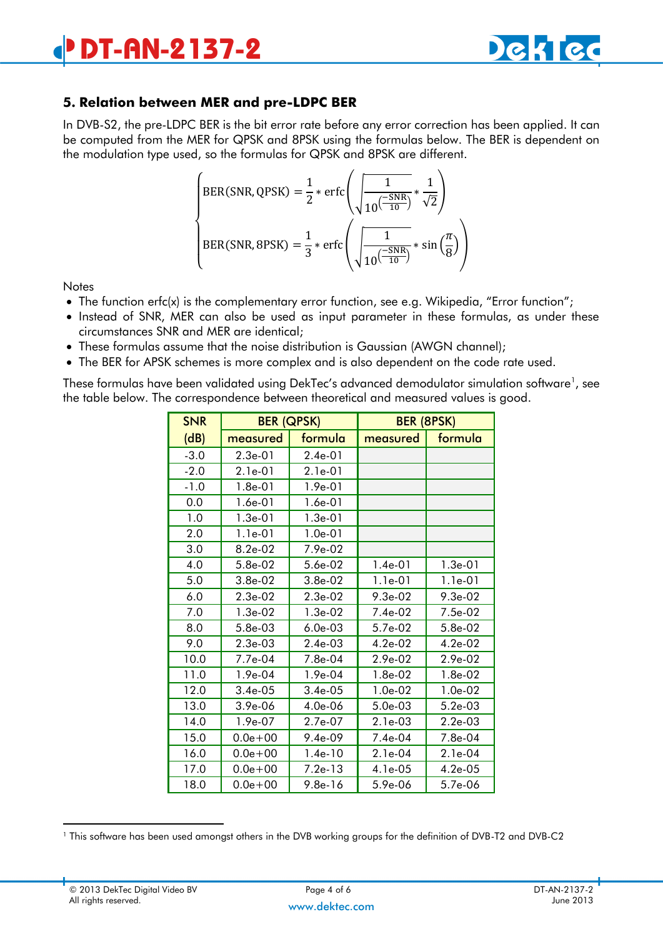

#### <span id="page-3-0"></span>**5. Relation between MER and pre-LDPC BER**

In DVB-S2, the pre-LDPC BER is the bit error rate before any error correction has been applied. It can be computed from the MER for QPSK and 8PSK using the formulas below. The BER is dependent on the modulation type used, so the formulas for QPSK and 8PSK are different.

$$
\begin{cases}\n\text{BER(SNR, QPSK)} = \frac{1}{2} * \text{erfc}\left(\sqrt{\frac{1}{10\left(\frac{-SNR}{10}\right)}} * \frac{1}{\sqrt{2}}\right) \\
\text{BER(SNR, 8PSK)} = \frac{1}{3} * \text{erfc}\left(\sqrt{\frac{1}{10\left(\frac{-SNR}{10}\right)}} * \sin\left(\frac{\pi}{8}\right)\right)\n\end{cases}
$$

**Notes** 

- The function erfc(x) is the complementary error function, see e.g. Wikipedia, "Error function";
- Instead of SNR, MER can also be used as input parameter in these formulas, as under these circumstances SNR and MER are identical;
- These formulas assume that the noise distribution is Gaussian (AWGN channel);
- The BER for APSK schemes is more complex and is also dependent on the code rate used.

These formulas have been validated using DekTec's advanced demodulator simulation software $^{\textrm{\text{!}}}$ , see the table below. The correspondence between theoretical and measured values is good.

| <b>SNR</b> | <b>BER (QPSK)</b> |                | <b>BER (8PSK)</b> |            |
|------------|-------------------|----------------|-------------------|------------|
| (dB)       | measured          | <u>formula</u> | measured          | formula    |
| $-3.0$     | $2.3e-01$         | 2.4e-01        |                   |            |
| $-2.0$     | $2.1e-01$         | $2.1e-01$      |                   |            |
| $-1.0$     | $1.8e-01$         | $1.9e-01$      |                   |            |
| 0.0        | 1.6e-01           | 1.6e-01        |                   |            |
| 1.0        | $1.3e-01$         | $1.3e-01$      |                   |            |
| 2.0        | $1.1e-01$         | $1.0e-01$      |                   |            |
| 3.0        | $8.2e-0.2$        | 7.9e-02        |                   |            |
| 4.0        | 5.8e-02           | 5.6e-02        | $1.4e-01$         | $1.3e-01$  |
| 5.0        | $3.8e-0.2$        | $3.8e-0.2$     | $1.1e-01$         | $1.1e-01$  |
| 6.0        | $2.3e-0.2$        | $2.3e-02$      | $9.3e-0.2$        | $9.3e-02$  |
| 7.0        | $1.3e-02$         | $1.3e-02$      | $7.4e-02$         | 7.5e-02    |
| 8.0        | $5.8e-03$         | $6.0e-03$      | 5.7e-02           | 5.8e-02    |
| 9.0        | 2.3e-03           | $2.4e-03$      | $4.2e-02$         | $4.2e-02$  |
| 10.0       | 7.7e-04           | 7.8e-04        | $2.9e-02$         | $2.9e-02$  |
| 11.0       | $1.9e-04$         | $1.9e-04$      | $1.8e-02$         | 1.8e-02    |
| 12.0       | $3.4e-0.5$        | $3.4e-0.5$     | $1.0e-02$         | $1.0e-02$  |
| 13.0       | $3.9e-06$         | $4.0e-06$      | $5.0e-03$         | $5.2e-03$  |
| 14.0       | $1.9e-07$         | 2.7e-07        | $2.1e-03$         | $2.2e-03$  |
| 15.0       | $0.0e + 00$       | $9.4e-09$      | $7.4e-04$         | 7.8e-04    |
| 16.0       | $0.0e + 00$       | $1.4e-10$      | $2.1e-04$         | $2.1e-04$  |
| 17.0       | $0.0e + 00$       | $7.2e-13$      | $4.1e-0.5$        | $4.2e-0.5$ |
| 18.0       | $0.0e + 00$       | $9.8e-16$      | $5.9e-06$         | 5.7e-06    |

<sup>1</sup> This software has been used amongst others in the DVB working groups for the definition of DVB-T2 and DVB-C2

-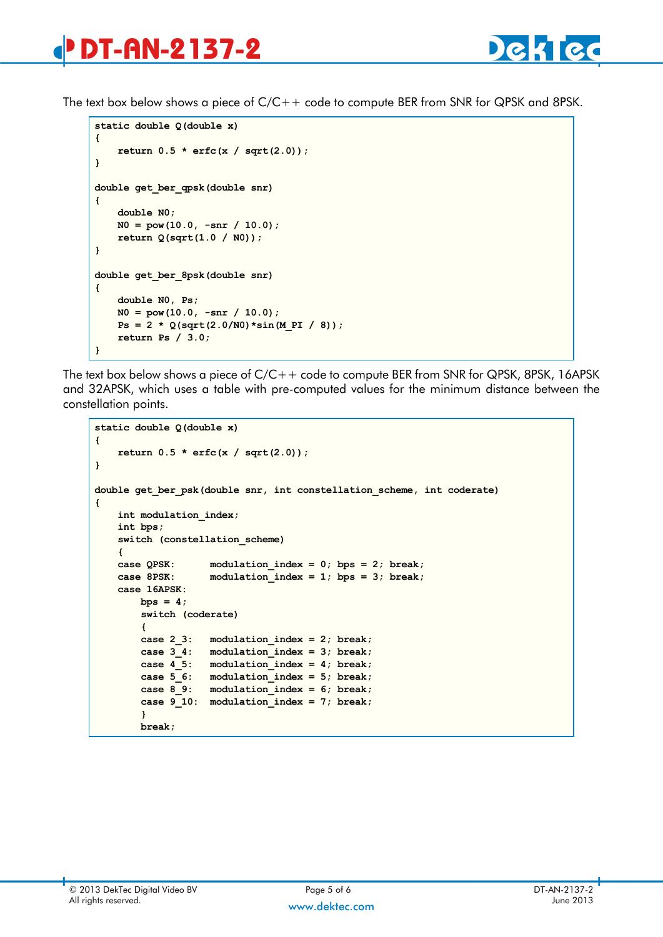# **DT-AN-2137-2**

The text box below shows a piece of C/C++ code to compute BER from SNR for QPSK and 8PSK.

```
static double Q(double x)
{
     return 0.5 * erfc(x / sqrt(2.0));
}
double get_ber_qpsk(double snr)
{
     double N0;
     N0 = pow(10.0, -snr / 10.0);
     return Q(sqrt(1.0 / N0));
}
double get_ber_8psk(double snr)
{
     double N0, Ps;
     N0 = pow(10.0, -snr / 10.0);
    Ps = 2 * Q(sqrt(2.0/N0) * sin(M PI / 8)); return Ps / 3.0;
}
```
The text box below shows a piece of C/C++ code to compute BER from SNR for QPSK, 8PSK, 16APSK and 32APSK, which uses a table with pre-computed values for the minimum distance between the constellation points.

```
static double Q(double x)
{
    return 0.5 * erfc(x / sqrt(2.0));
}
double get_ber_psk(double snr, int constellation_scheme, int coderate)
{
    int modulation_index;
    int bps;
    switch (constellation_scheme)
     {
    case QPSK: modulation_index = 0; bps = 2; break;
    case 8PSK: modulation_index = 1; bps = 3; break;
    case 16APSK:
       bps = 4; switch (coderate)
         {
         case 2_3: modulation_index = 2; break;
         case 3_4: modulation_index = 3; break;
         case 4_5: modulation_index = 4; break;
         case 5_6: modulation_index = 5; break;
         case 8_9: modulation_index = 6; break;
         case 9_10: modulation_index = 7; break;
         }
         break;
```